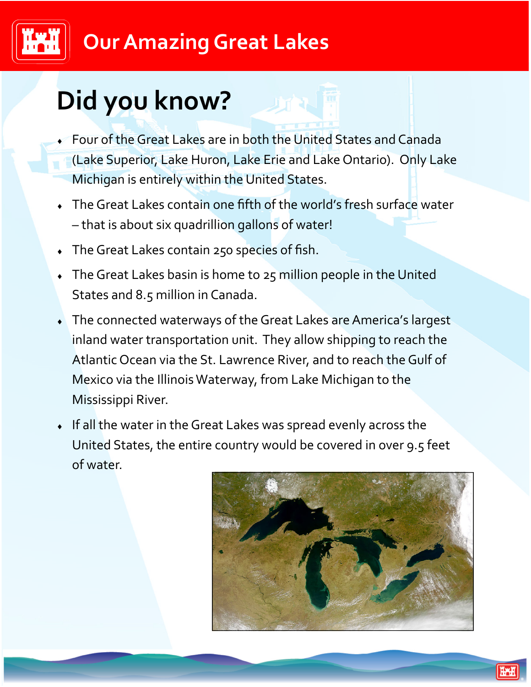### **Our Amazing Great Lakes**

## **Did you know?**

- Four of the Great Lakes are in both the United States and Canada (Lake Superior, Lake Huron, Lake Erie and Lake Ontario). Only Lake Michigan is entirely within the United States.
- The Great Lakes contain one fifth of the world's fresh surface water – that is about six quadrillion gallons of water!
- The Great Lakes contain 250 species of fish.
- The Great Lakes basin is home to 25 million people in the United States and 8.5 million in Canada.
- The connected waterways of the Great Lakes are America's largest inland water transportation unit. They allow shipping to reach the Atlantic Ocean via the St. Lawrence River, and to reach the Gulf of Mexico via the Illinois Waterway, from Lake Michigan to the Mississippi River.
- If all the water in the Great Lakes was spread evenly across the United States, the entire country would be covered in over 9.5 feet of water.

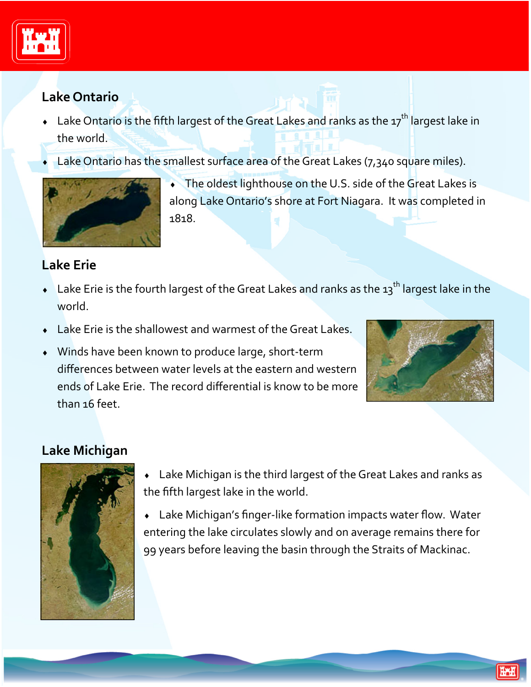

#### **Lake Ontario**

- $\bullet$  Lake Ontario is the fifth largest of the Great Lakes and ranks as the 17<sup>th</sup> largest lake in the world.
- Lake Ontario has the smallest surface area of the Great Lakes (7,340 square miles).



 The oldest lighthouse on the U.S. side of the Great Lakes is along Lake Ontario's shore at Fort Niagara. It was completed in 1818.

#### **Lake Erie**

- $\bullet$  Lake Erie is the fourth largest of the Great Lakes and ranks as the 13<sup>th</sup> largest lake in the world.
- Lake Erie is the shallowest and warmest of the Great Lakes.
- ◆ Winds have been known to produce large, short-term differences between water levels at the eastern and western ends of Lake Erie. The record differential is know to be more than 16 feet.



#### **Lake Michigan**



- Lake Michigan is the third largest of the Great Lakes and ranks as the fifth largest lake in the world.
- Lake Michigan's finger‐like formation impacts water flow. Water entering the lake circulates slowly and on average remains there for 99 years before leaving the basin through the Straits of Mackinac.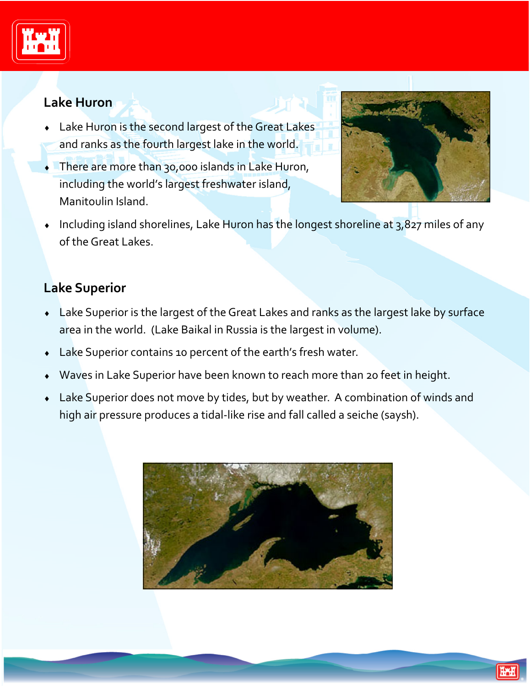

#### **Lake Huron**

- Lake Huron is the second largest of the Great Lakes and ranks as the fourth largest lake in the world.
- There are more than 30,000 islands in Lake Huron, including the world's largest freshwater island, Manitoulin Island.



 $\bullet$  Including island shorelines, Lake Huron has the longest shoreline at 3,827 miles of any of the Great Lakes.

#### **Lake Superior**

- Lake Superior is the largest of the Great Lakes and ranks as the largest lake by surface area in the world. (Lake Baikal in Russia is the largest in volume).
- Lake Superior contains 10 percent of the earth's fresh water.
- Waves in Lake Superior have been known to reach more than 20 feet in height.
- Lake Superior does not move by tides, but by weather. A combination of winds and high air pressure produces a tidal-like rise and fall called a seiche (saysh).